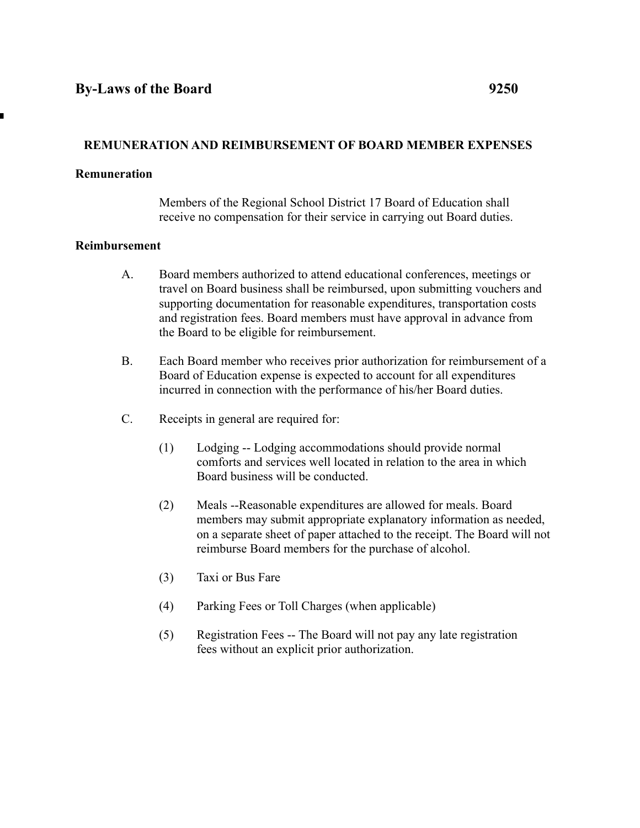# **REMUNERATION AND REIMBURSEMENT OF BOARD MEMBER EXPENSES**

#### **Remuneration**

Members of the Regional School District 17 Board of Education shall receive no compensation for their service in carrying out Board duties.

### **Reimbursement**

- A. Board members authorized to attend educational conferences, meetings or travel on Board business shall be reimbursed, upon submitting vouchers and supporting documentation for reasonable expenditures, transportation costs and registration fees. Board members must have approval in advance from the Board to be eligible for reimbursement.
- B. Each Board member who receives prior authorization for reimbursement of a Board of Education expense is expected to account for all expenditures incurred in connection with the performance of his/her Board duties.
- C. Receipts in general are required for:
	- (1) Lodging -- Lodging accommodations should provide normal comforts and services well located in relation to the area in which Board business will be conducted.
	- (2) Meals --Reasonable expenditures are allowed for meals. Board members may submit appropriate explanatory information as needed, on a separate sheet of paper attached to the receipt. The Board will not reimburse Board members for the purchase of alcohol.
	- (3) Taxi or Bus Fare
	- (4) Parking Fees or Toll Charges (when applicable)
	- (5) Registration Fees -- The Board will not pay any late registration fees without an explicit prior authorization.